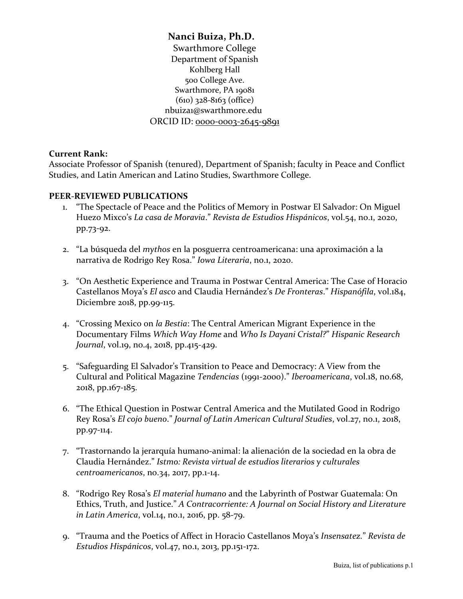**Nanci Buiza, Ph.D.** Swarthmore College Department of Spanish Kohlberg Hall 500 College Ave. Swarthmore, PA 19081 (610) 328-8163 (office) nbuiza1@swarthmore.edu ORCID ID: 0000-0003-2645-9891

## **Current Rank:**

Associate Professor of Spanish (tenured), Department of Spanish; faculty in Peace and Conflict Studies, and Latin American and Latino Studies, Swarthmore College.

## **PEER-REVIEWED PUBLICATIONS**

- 1. "The Spectacle of Peace and the Politics of Memory in Postwar El Salvador: On Miguel Huezo Mixco's *La casa de Moravia*." *Revista de Estudios Hispánicos*, vol.54, no.1, 2020, pp.73-92.
- 2. "La búsqueda del *mythos* en la posguerra centroamericana: una aproximación a la narrativa de Rodrigo Rey Rosa." *Iowa Literaria*, no.1, 2020.
- 3. "On Aesthetic Experience and Trauma in Postwar Central America: The Case of Horacio Castellanos Moya's *El asco* and Claudia Hernández's *De Fronteras*." *Hispanófila*, vol.184, Diciembre 2018, pp.99-115.
- 4. "Crossing Mexico on *la Bestia*: The Central American Migrant Experience in the Documentary Films *Which Way Home* and *Who Is Dayani Cristal?*" *Hispanic Research Journal*, vol.19, no.4, 2018, pp.415-429.
- 5. "Safeguarding El Salvador's Transition to Peace and Democracy: A View from the Cultural and Political Magazine *Tendencias* (1991-2000)." *Iberoamericana*, vol.18, no.68, 2018, pp.167-185.
- 6. "The Ethical Question in Postwar Central America and the Mutilated Good in Rodrigo Rey Rosa's *El cojo bueno*." *Journal of Latin American Cultural Studies*, vol.27, no.1, 2018, pp.97-114.
- 7. "Trastornando la jerarquía humano-animal: la alienación de la sociedad en la obra de Claudia Hernández." *Istmo: Revista virtual de estudios literarios y culturales centroamericanos*, no.34, 2017, pp.1-14.
- 8. "Rodrigo Rey Rosa's *El material humano* and the Labyrinth of Postwar Guatemala: On Ethics, Truth, and Justice." *A Contracorriente: A Journal on Social History and Literature in Latin America*, vol.14, no.1, 2016, pp. 58-79.
- 9. "Trauma and the Poetics of Affect in Horacio Castellanos Moya's *Insensatez.*" *Revista de Estudios Hispánicos*, vol.47, no.1, 2013, pp.151-172.